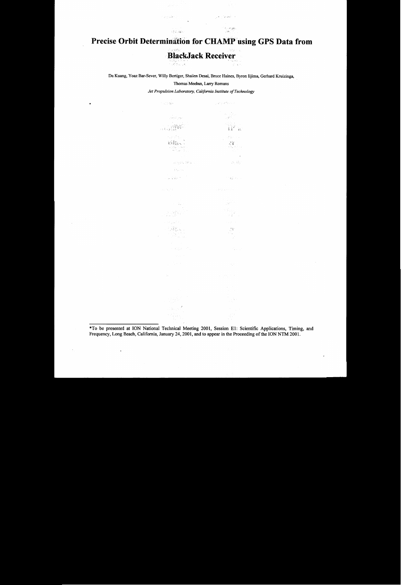## Precise Orbit Determination for CHAMP using GPS Data from

 $\bar{z}$ 

بالوقية والرافي

 $\frac{1}{2} \frac{1}{2} \frac{1}{2} \frac{1}{2}$ 

الأسرين

 $\mathbb{S}_T^1(\mathbb{Z}_q,\mathbb{Z}_R^d)$  .

# **BlackJack Receiver**

Da Kuang, *Yoaz* Bar-Sever, Willy Bertiger, Shailen Desai, Bruce Haines, Byron Iijima, Gerhard Kruizinga,

#### Thomas'Meehan, Larry Romans

*Jet Propulsion Laboratory, California Institute of Technology* 

<sup>\*</sup>To be presented at ION National Technical Meeting 2001, Session E1: Scientific Applications, Timing, an Frequency, Long Beach, California, January 24,2001, and to appear in the Proceeding **of** the ION NTM 2001.

\*

 $\ddot{\cdot}$ 

 $\Box$ 

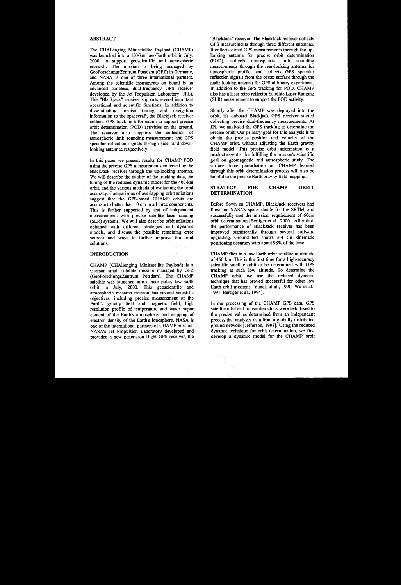#### **ABSTRACT**

In this paper we present results for CHAMP POD using the precise GPS measurements collected by the BlackJack receiver through the up-looking antenna. We will describe the quality of the tracking data, the tuning of the reduced-dynamic model for the 400-km orbit, and the various methods of evaluating the orbit accuracy. Comparisons of overlapping orbit solutions suggest that the GPS-based CHAMP orbits are accurate to better than 10 cm in all three components. This is further supported by test of independent measurements with precise satellite laser ranging (SLR) systems. We will also describe orbit solutions obtained with different strategies and dynamic models, and discuss the possible remaining error sources and ways to further improve the orbit solutions. 24 (14)

The CHAllenging Minisatellite Payload (CHAMP) was launched into a 450-km low-Earth orbit in July, 2000, to support geoscientific and atmospheric research. The mission is being managed by GeoForschungsZentrum Potsdam (GFZ) in Germany, and NASA is one of three international partners. Among the scientific instruments on board is an advanced codeless, dual-frequency GPS receiver developed by the Jet Propulsion Laboratory (JPL). This "Blackjack" receiver supports several important operational and scientific functions. In addition to disseminating precise timing and navigation information to the spacecraft, the Blackjack receiver collects GPS tracking information to support precise orbit determination (POD) activities on the ground. The receiver also supports the collection of atmospheric limb sounding measurements" and GPS specular reflection signals through side- and downlooking antennae respectively.

#### **INTRODUCTION**

CHAMP flies in a low Earth orbit satellite at altitude of **450** km. This is the first time for a high-accuracy scientific satellite orbit to be determined with GPS tracking at such low altitude. **To** determine the CHAMP orbit, we use the reduced dynamic technique that has proved successful for other low Earth orbit missions [Yunck et al., 1990, Wu et al., 1991, Bertiger et al., 1994].

CHAMP (CHAllenging Minisatellite Payload) is a German small satellite mission managed by GFZ (GeoForschungsZentrum Potsdam). The CHAMP satellite was launched into a near polar, low-Earth orbit in July, 2000. This geoscientific and atmospheric research mission has several scientific objectives, including precise measurement of the Earth's gravity field and magnetic field, high resolution profile of temperature and water vapor content of the Earth's atmosphere, and mapping of electron density of the Earth's ionosphere. NASA is one of the international partners of CHAMP mission. NASA's Jet Propulsion Laboratory developed and provided a new generation flight GPS receiver, the

"BlackJack" receiver. The BlackJack receiver collects GPS measurements through three different antennas. It collects direct GPS measurements through the uplooking antenna for precise orbit determination (POD), collects atmospheric limb sounding measurements through the rear-looking antenna for atmospheric profile, and collects GPS specular reflection signals fiom the ocean surface through the nadir-looking antenna for GPS-altimetry experiment. In addition to the GPS tracking for POD, CHAMP also has a laser retro-reflector Satellite Laser Ranging (SLR) measurement to support the POD activity.

Shortly after the CHAMP was deployed into the orbit, it's onboard Blackjack GPS receiver started collecting precise dual-frequency measurements. At JPL we analyzed the GPS tracking to determine the precise orbit. Our primary goal for this analysis is to obtain the precise position and velocity of the CHAMP orbit, without adjusting the Earth gravity field model. This precise orbit information is a product essential for fulfilling the mission's scientific goal on geomagnetic and atmospheric study. The surface force perturbation on CHAMP learned through this orbit determination process will also be helpful to the precise Earth gravity field mapping.

#### **STRATEGY FOR CHAMP ORBIT DETERMINATION**

Before flown on CHAMP, BlackJack receivers had flown on NASA's space shuttle for the SRTM, and successfully met the mission' requirement of 60cm orbit determination [Bertiger et al., 20001. After that, the performance of BlackJack receiver has been improved significantly through several software upgrading. Ground test shows **3-4** cm kinematic positioning accuracy with about 98% of the time.

In our processing of the CHAMP GPS data, GPS satellite orbit and transmitter clock were held fixed to the precise values determined from an independent process that analyzes data from a globally distributed ground network [Jefferson, 19981. Using the reduced dynamic technique for orbit determination, we first develop a dynamic model for the CHAMP orbit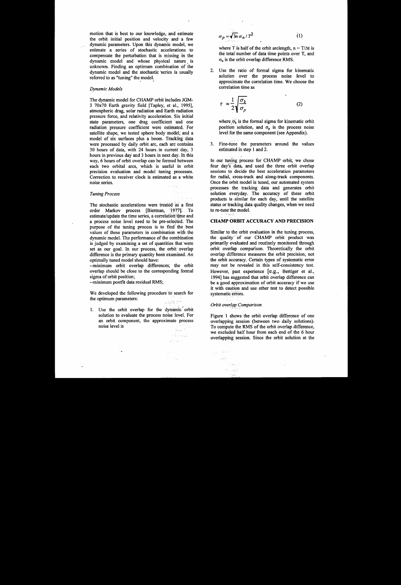motion that is best to our knowledge, and estimate the orbit initial position and velocity and a few dynamic parameters. Upon this dynamic model, we estimate a series of stochastic accelerations to compensate the perturbation that is missing in the dynamic model and whose physical nature, is unknown. Finding an optimum combination of the dynamic model and the stochastic series is usually referred to as "tuning" the model.

#### *Dynamic Models*

The dynamic model for CHAMP orbit includes **JGM-3** 70x70 Earth gravity field [Tapley, et **al., 19951,**  atmospheric drag, solar radiation and Earth radiation pressure force, and relativity acceleration. *Six* initial state parameters, one drag coefficient 'and one radiation pressure coefficient were estimated. For satellite shape, we tested sphere body model, and a model of six surfaces plus a boom. Tracking data were processed by daily orbit arc, each arc'contains **30** hours of data, with **24** hours. in current-day, **3**  hours in previous day and 3 hours in next day. In this way, 6 hours of orbit overlap can be formed between each two orbital arcs, which is useful in orbit precision evaluation and model tuning processes. Correction to receiver clock is estimated as a white noise series.

The stochastic accelerations were treated as a first order Markov process [Bierman, **'19771.** To estimate/update the time series, a correlation time and a process noise level need to be pre-selected. The purpose of the tuning process is to find the best values of these parameters in combination with the dynamic model. The performance **of** the combination is judged by examining a set of quantities that'were set as our goal. In our process, the orbit overlap difference is the primary quantity been examined. **An**  optimally tuned model should have:

**1.** Use the orbit overlap for the dynamic' orbit solution to evaluate the process noise level. For an orbit component, the approximate process noise level is  $\Omega_{\rm AGN}$ 

 $\sigma_p = \sqrt{3n} \sigma_n / T^2$  $(1)$ 

where T is half of the orbit arclength,  $n = T/\Delta t$  is the total number of data time points over T, and  $\sigma_n$  is the orbit overlap difference RMS.

2. Use the ratio of formal sigma for kinematic solution over the process noise level to approximate the correlation time. We choose the correlation time as

$$
\tau \approx \frac{1}{2} \sqrt{\frac{\sigma_k}{\sigma_p}} \tag{2}
$$

where  $\sigma_k$  is the formal sigma for kinematic orbit position solution, and  $\sigma_p$  is the process noise level for the same component (see Appendix).

3. Fine-tune the parameters around the values estimated in step 1 and 2.

In our tuning process for CHAMP orbit, we chose four day's data, and used the three orbit overlap sessions to decide the best acceleration parameters for radial, cross-track and along-track components. Once the orbit model is tuned, our automated system processes the tracking data and generates orbit solution everyday. The accuracy of these orbit products is similar for each day, until the satellite status or tracking data quality changes, when we need to re-tune the model.

#### **CHAMP ORBIT ACCURACY AND PRECISION**

Similar to the orbit evaluation in the tuning process, the quality of our CHAMP orbit product was primarily evaluated and routinely monitored through orbit overlap comparison. Theoretically the orbit overlap difference measures the orbit precision, not the orbit accuracy. Certain types of systematic error may not be revealed in this self-consistency test. However, past experience [e.g., Bertiger et al., 1994] has suggested that orbit overlap difference can be a good approximation of orbit accuracy if we use it with caution and use other test to detect possible systematic errors.

#### Orbit overlap Comparison

a digir nash ن<br>الموليات

中国語

Figure 1 shows the orbit overlap difference of one overlapping session (between two daily solutions). To compute the RMS of the orbit overlap difference, we excluded half hour from each end of the 6 hour overlapping session. Since the orbit solution at the

We developed the following procedure to search for the optimum parameters: , ,, < ~ *<sup>8</sup>*.. ,

> **<sup>k</sup>'** . , 1971<br>San Aire an Io

#### *Tuning Process*

--minimum orbit overlap differences; the orbit overlap should be close to the corresponding formal sigma of orbit position;

--minimum postfit data residual **RMS;** 

I ..

 $\mathcal{A}(\cdot)$  , and

. ..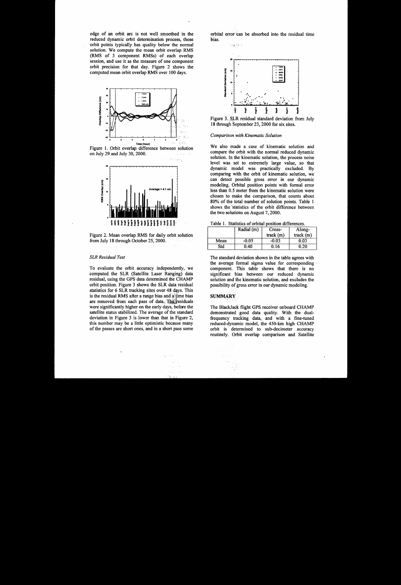edge of an orbit arc is not well smoothed in the reduced dynamic orbit determination process, those orbit points typically has quality below the normal solution. We compute the mean orbit overlap RMS **(RMS** of **3** component RMSs) of each overlap session, and use it as the measure of one component orbit precision for that day. Figure 2 shows the computed mean orbit overlap RMS over 100 days.



Figure **1.** Orbit overlap difference between solution on July 29 and July 30,2000. siya ev p





#### *SLR Residual Test*

orbital error 'can be absorbed into the residual time bias.

To evaluate the orbit accuracy independently, we computed the SLR (Satellite Laser Ranging) data residual, using the GPS data determined the CHAMP orbit position. Figure 3 shows the SLR data residual statistics for **6** SLR tracking sites over 48.dqys. This is the residual RMS after a range bias and a time bias are removed from each pass of data. The residuals were significantly higher on the early days, before the satellite status stabilized. The average of the standard deviation in Figure 3 is lower than that in Figure 2, this number may be a little optimistic because many of the passes are short ones, and in a short pass some

ight Ba



Figure 3. SLR residual standard deviation from July **18** through September 23,2000 for six sites.

#### *Comparison with Kinematic Solution*

We also made a case of kinematic solution and compare the orbit with the normal reduced dynamic solution. In the kinematic solution, the process noise level was set to extremely large value, *so* that dynamic model was practically excluded. By comparing with the orbit of kinematic solution, we can detect possible *gross* error in our dynamic modeling. Orbital position points with formal error less than 0.5 meter from the kinematic solution were chosen to make the comparison, that counts about **80%** of the total number **of** solution points. Table 1 shows the statistics of the orbit difference between the two solutiohs on August 7,2000.

|  |  |  |  | Table 1. Statistics of orbital position differences. |
|--|--|--|--|------------------------------------------------------|
|--|--|--|--|------------------------------------------------------|

|   |                    | Radial (m)     | Cross-   | Along-   |
|---|--------------------|----------------|----------|----------|
| n |                    |                | track(m) | track(m) |
|   | ALCOHOL: Y<br>Mean | $-0.05$        | $-0.03$  | 0.03     |
|   | Std                | Es ali<br>0.40 | 0.16     | 0.20     |

The standard deviation shown in the table agrees with the average formal sigma value for corresponding component. This table shows that there is no significant bias between our reduced dynamic solution and the kinematic solution, and excludes the possibility of gross error in our dynamic modeling.

### $\mathbf{SUMMARY}$

The BlackJack flight GPS receiver onboard CHAMP demonstrated good data quality. With the dualfrequency tracking data, and with a fine-tuned reduced-dynamic model, the 450-km high CHAMP orbit is determined to sub-decimeter accuracy routinely. Orbit overlap comparison and Satellite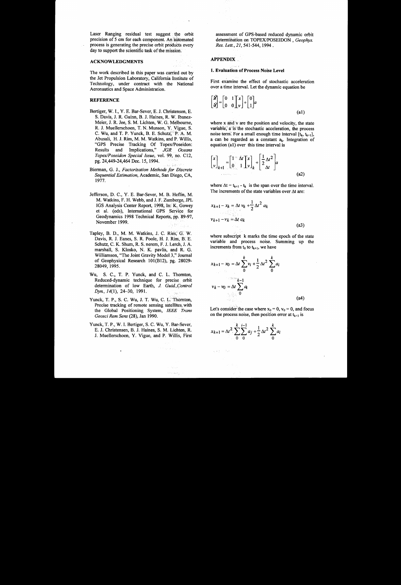Laser Ranging residual test suggest the orbit precision of 5 cm for each component. An automated process is generating the precise orbit products every day to support the scientific task of the mission.

#### **ACKNOWLEDGMENTS**

The work described in this paper was carried out by the Jet Propulsion Laboratory, California Institute of Technology, under contract with the National Aeronautics and Space Administration.

#### **REFERENCE**

- Bertiger, W. **I.,** Y. E. Bar-Sever, **E.** J. Christensen, E. **S.** Davis, J. **R.** Guinn, B. J. Haines, R. W. Ibanez-Meier, **J.** R. Jee, **S.** M. Lichten, W. G. Melbourne, R. J. Muellerschoen, T. N. Munson, Y. Vigue, **S.**  C. Wu, and T. P. Yunck, B. E. Schutz, P. A. M. Abusali, H. J. Rim, M. M. Watkins, and'P. Willis, "GPS Precise Tracking Of Topex/Poseidon: Results and Implications," *JGR Oceans TopedPoseidon Special Issue,* vol. 99, no. C12, pg. 24,449-24,464 Dec. 15, 1994.
- Bierman, *G.* J., *Factorization Methods for Discrete Sequential Estimation,* Academic, San Diego, CA, 1977.  $\omega$  ())
- Jefferson, D. C., Y. E. Bar-Sever, M. B. Heflin, M. M. Watkins, **F.** H. Webb, and J. **F.** Zumberge, JPL IGS Analysis Center Report, 1998, In: K., Gowey et al. (eds), International GPS Service for Geodynamics 1998 Technical Reports, pp. '89-97, November 1999. di pri
- Tapley, B. D., M. M. Watkins, J. C. **Ries;** G: W. Davis, R. J. Eanes, **S.** R. Poole, H. **J.** Rim, B. E. Schutz, C. K. Shum, R. **S.** nerem, **F.** J. Lerch, J. A. marshall, **S.** Klosko, N. K. pavlis, and R. *G.*  Williamson, "The Joint Gravity Model 3," Journal of Geophysical Research  $101(B12)$ , pg. 28029-28049, 1995.
- Wu, **S. C.,** T. P. Yunck, and C. L. Thornton, Reduced-dynamic technique for precise, orbit determination of low Earth, *J. Guid,Control @n.,* 14(1), 24-30, 1991.
- Yunck, T. P., **S.** C. Wu, **J.** T. Wu, **C.** L. 'Thornton, Precise tracking of remote sensing satellites, with the Global Positioning System, *IEEE Trans Geosci Rem Sens* (28), Jan 1990.
- Yunck, T. P., W. **I.** Bertiger, **S.** C. Wu, Y. Bar-Sever, E. J. Christensen, B. J. Haines, **S.** M. Lichten, R. J. Muellerschoen, Y. Vigue, and P. Willis, First

Address Age

وأمنعت والمد

assessment of GPS-based reduced dynamic orbit determination on TOPEX/POSEIDON, Geophys. Res. Lett., 21, 541-544, 1994.

#### **APPENDIX**

#### 1. Evaluation of Process Noise Level

First examine the effect of stochastic acceleration over a time interval. Let the dynamic equation be

$$
\begin{bmatrix} \dot{\mathbf{x}} \\ \dot{\mathbf{x}} \end{bmatrix} = \begin{bmatrix} 0 & 1 \\ 0 & 0 \end{bmatrix} \begin{bmatrix} x \\ v \end{bmatrix} + \begin{bmatrix} 0 \\ 1 \end{bmatrix} a \tag{a1}
$$

where x and v are the position and velocity, the state variable, a is the stochastic acceleration, the process noise term. For a small enough time interval  $[t_k, t_{k+1}]$ , a can be regarded as a constant  $a_k$ . Integration of equation (a1) over this time interval is

$$
\begin{bmatrix} x \\ v \end{bmatrix}_{k+1} = \begin{bmatrix} 1^{(1)} \Delta t \\ 0 & 1 \end{bmatrix} \begin{bmatrix} x \\ v \end{bmatrix}_{k} + \begin{bmatrix} \frac{1}{2} \Delta t^2 \\ \Delta t \end{bmatrix} a
$$
\n(2)

where  $\Delta t = t_{k+1} - t_k$  is the span over the time interval. The increments of the state variables over  $\Delta t$  are:

$$
x_{k+1} - x_k = \Delta t \, v_k + \frac{1}{2} \, \Delta t^2 \, a_k
$$
  

$$
v_{k+1} - v_k = \Delta t \, a_k
$$
 (a3)

where subscript k marks the time epoch of the state variable and process noise. Summing up the increments from  $t_0$  to  $t_{k+1}$ , we have

$$
x_{k+1} - x_0 = \Delta t \sum_{i=1}^{k} v_i + \frac{1}{2} \Delta t^2 \sum_{i=1}^{k} a_i
$$
  

$$
v_k - v_0 = \Delta t \sum_{i=1}^{k} a_i
$$
  
(a4)

Let's consider the case where  $x_0 = 0$ ,  $v_0 = 0$ , and focus on the process noise, then position error at  $t_{k+1}$  is

$$
x_{k+1} = \Delta t^2 \sum_{i=0}^{k} \sum_{j=0}^{i-1} a_j + \frac{1}{2} \Delta t^2 \sum_{j=0}^{k} a_j
$$

 $\omega$  and  $\omega$  ,  $\omega$  ,  $\omega$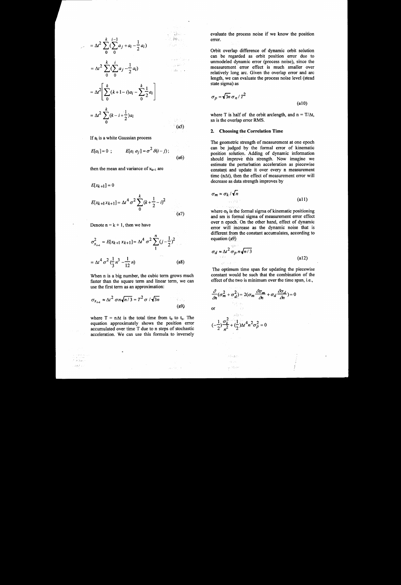$$
= \Delta t^2 \sum_{0}^{k} \left( \sum_{0}^{i-1} a_j + a_i - \frac{1}{2} a_i \right)
$$
  

$$
= \Delta t^2 \sum_{0}^{k} \left( \sum_{0}^{i} a_j - \frac{1}{2} a_i \right)
$$
  

$$
= \Delta t^2 \left[ \sum_{0}^{k} (k+1-i) a_i - \sum_{0}^{k} \frac{1}{2} a_i \right]
$$
  

$$
= \Delta t^2 \sum_{0}^{k} (k-i+\frac{1}{2}) a_i
$$

If  $a_i$  is a white Gaussian process

$$
E[a_i] = 0 \; ; \qquad E[a_i \; a_j] = \sigma^2 \; \delta(i-j) \; ; \qquad (a6)
$$

 $(a5)$ 

then the mean and variance of  $x_{k+1}$  are

$$
E[x_{k+1}] = 0
$$
  
\n
$$
E[x_{k+1}x_{k+1}] = \Delta t^4 \sigma^2 \sum_{0}^{k} (k + \frac{1}{2} - i)^2
$$
\n(a7)

Denote  $n = k + 1$ , then we have

$$
\sigma_{x_{k+1}}^2 = E[x_{k+1} x_{k+1}] = \Delta t^4 \sigma^2 \sum_{1}^{n} (j - \frac{1}{2})^2
$$

$$
= \Delta t^4 \sigma^2 (\frac{1}{3} n^3 - \frac{1}{12} n) \tag{a8}
$$

When n is a big number, the cubic term grows much faster than the square term and linear term, we can use the first term as an approximation:

$$
\sigma_{x_{k+1}} \approx \Delta t^2 \sigma n \sqrt{n/3} = T^2 \sigma / \sqrt{3n}
$$
 (a9)

where T =  $n\Delta t$  is the total time from t<sub>0</sub> to t<sub>n</sub>. The equation approximately shows the position error accumulated over time T due to n steps of stochastic acceleration. We can use this formula to inversely

 $\ddot{\phantom{a}}$ 

 $\hat{\mathcal{M}}(\hat{\mathcal{P}})$  $\log\sqrt{2}$  is evaluate the process noise if we know the position error.

Orbit overlap difference of dynamic orbit solution can be regarded as orbit position error due to unmodeled dynamic error (process noise), since the measurement error effect is much smaller over relatively long arc. Given the overlap error and arc length, we can evaluate the process noise level (stead state sigma) as

$$
\sigma_p = \sqrt{3n} \,\sigma_n / T^2 \tag{a10}
$$

where T is half of the orbit arclength, and  $n = T/\Delta t$ , sn is the overlap error RMS.

#### 2. Choosing the Correlation Time

The geometric strength of measurement at one epoch can be judged by the formal error of kinematic position solution. Adding of dynamic information should improve this strength. Now imagine we estimate the perturbation acceleration as piecewise constant and update it over every n measurement time  $(n\Delta t)$ , then the effect of measurement error will decrease as data strength improves by

$$
\sigma_m \approx \sigma_k / \sqrt{n} \tag{a11}
$$

where  $\sigma_k$  is the formal sigma of kinematic positioning and sm is formal sigma of measurement error effect over n epoch. On the other hand, effect of dynamic error will increase as the dynamic noise that is different from the constant accumulates, according to equation (a9)

$$
\sigma_d \approx \Delta t^2 \frac{\sigma_p n \sqrt{n/3}}{2}
$$
 (a12)

The optimum time span for updating the piecewise constant would be such that the combination of the effect of the two is minimum over the time span, i.e.,

$$
\frac{\partial}{\partial n} (\sigma_m^2 + \sigma_d^2) = 2(\sigma_m \frac{\partial \sigma_m}{\partial n} + \sigma_d \frac{\partial \sigma_d}{\partial n}) = 0
$$
  
or  

$$
(-\frac{1}{2}) \frac{\sigma_k^2}{n^2} + (\frac{1}{2}) \Delta t^4 n^2 \sigma_p^2 = 0
$$